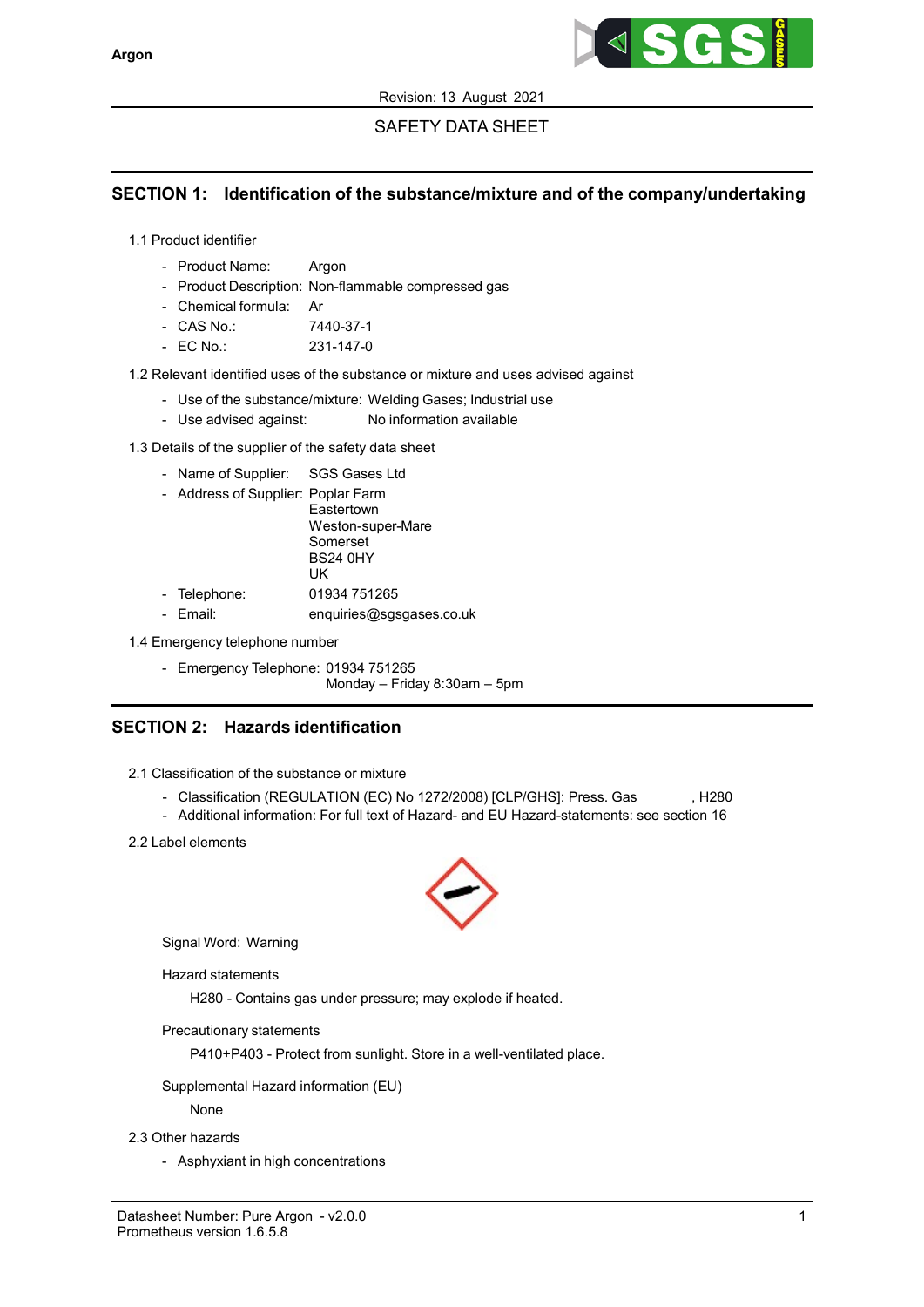

# SAFETY DATA SHEET

# SECTION 1: Identification of the substance/mixture and of the company/undertaking

1.1 Product identifier

- Product Name: Argon
- Product Description: Non-flammable compressed gas
- Chemical formula: Ar
- CAS No.: 7440-37-1
- EC No.: 231-147-0
- 1.2 Relevant identified uses of the substance or mixture and uses advised against
	- Use of the substance/mixture: Welding Gases; Industrial use
	- Use advised against: No information available
- 1.3 Details of the supplier of the safety data sheet
	- Name of Supplier: SGS Gases Ltd
	- Address of Supplier: Poplar Farm
	- **Eastertown** Weston-super-Mare Somerset BS24 0HY UK - Telephone: 01934 751265
	- Email: enquiries@sgsgases.co.uk
- 1.4 Emergency telephone number
	- Emergency Telephone: 01934 751265

### Monday – Friday 8:30am – 5pm

## SECTION 2: Hazards identification

- 2.1 Classification of the substance or mixture
	- Classification (REGULATION (EC) No 1272/2008) [CLP/GHS]: Press. Gas (Comp.), H280
	- Additional information: For full text of Hazard- and EU Hazard-statements: see section 16
- 2.2 Label elements



Signal Word: Warning

Hazard statements

H280 - Contains gas under pressure; may explode if heated.

Precautionary statements

P410+P403 - Protect from sunlight. Store in a well-ventilated place.

Supplemental Hazard information (EU)

None

2.3 Other hazards

- Asphyxiant in high concentrations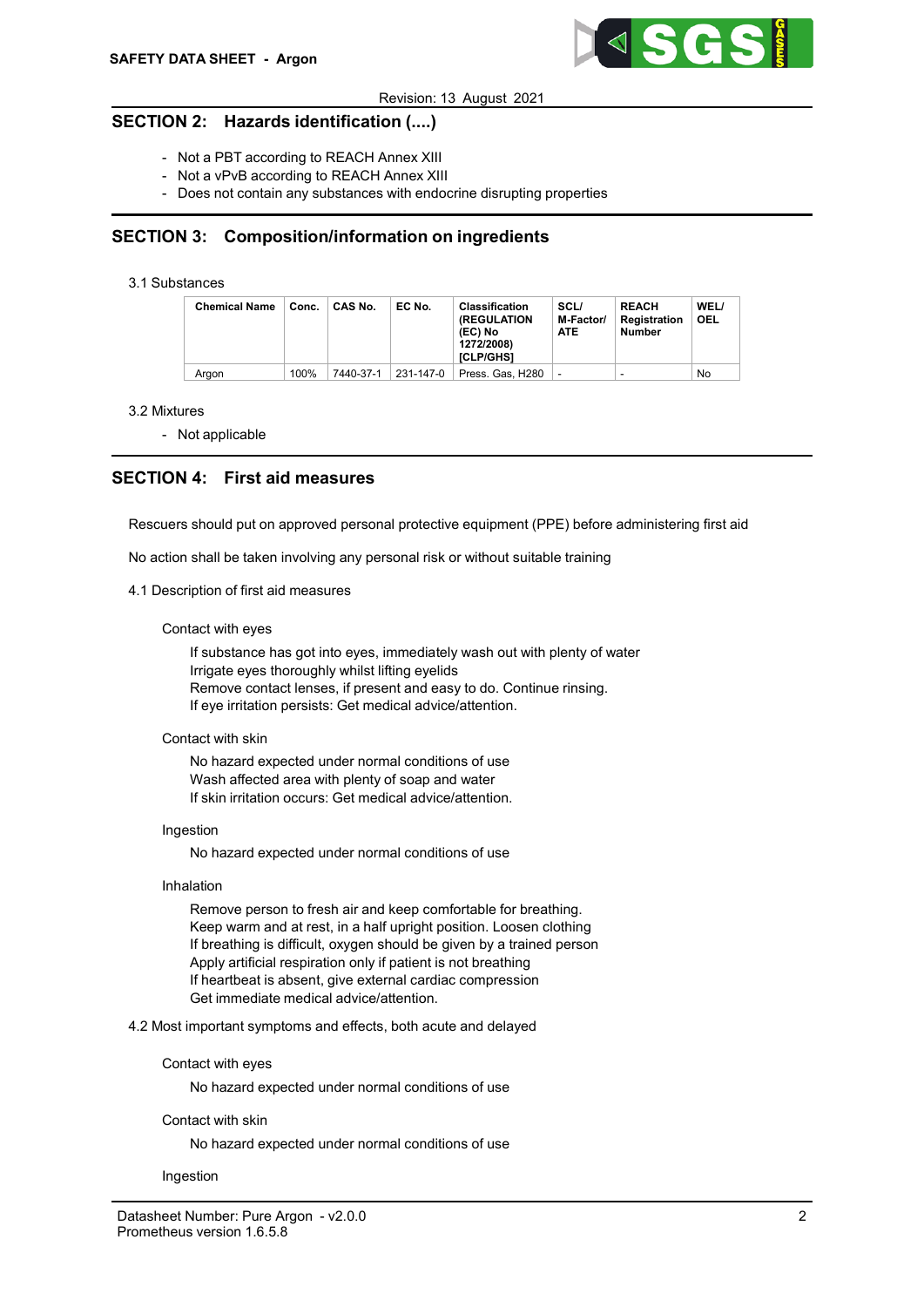

## SECTION 2: Hazards identification (....)

- Not a PBT according to REACH Annex XIII
- Not a vPvB according to REACH Annex XIII
- Does not contain any substances with endocrine disrupting properties

### SECTION 3: Composition/information on ingredients

#### 3.1 Substances

| <b>Chemical Name</b> | Conc. | CAS No.   | EC No.    | <b>Classification</b><br><b>(REGULATION)</b><br>(EC) No<br>1272/2008)<br><b>ICLP/GHS1</b> | <b>SCL/</b><br>M-Factor/<br><b>ATE</b> | <b>REACH</b><br>Registration<br><b>Number</b> | WEL/<br><b>OEL</b> |
|----------------------|-------|-----------|-----------|-------------------------------------------------------------------------------------------|----------------------------------------|-----------------------------------------------|--------------------|
| Araon                | 100%  | 7440-37-1 | 231-147-0 | Press, Gas, H280                                                                          |                                        | -                                             | No                 |

#### 3.2 Mixtures

- Not applicable

### SECTION 4: First aid measures

Rescuers should put on approved personal protective equipment (PPE) before administering first aid

No action shall be taken involving any personal risk or without suitable training

#### 4.1 Description of first aid measures

#### Contact with eyes

If substance has got into eyes, immediately wash out with plenty of water Irrigate eyes thoroughly whilst lifting eyelids Remove contact lenses, if present and easy to do. Continue rinsing. If eye irritation persists: Get medical advice/attention.

### Contact with skin

No hazard expected under normal conditions of use Wash affected area with plenty of soap and water If skin irritation occurs: Get medical advice/attention.

#### Ingestion

No hazard expected under normal conditions of use

#### Inhalation

Remove person to fresh air and keep comfortable for breathing. Keep warm and at rest, in a half upright position. Loosen clothing If breathing is difficult, oxygen should be given by a trained person Apply artificial respiration only if patient is not breathing If heartbeat is absent, give external cardiac compression Get immediate medical advice/attention.

4.2 Most important symptoms and effects, both acute and delayed

#### Contact with eyes

No hazard expected under normal conditions of use

### Contact with skin

No hazard expected under normal conditions of use

#### Ingestion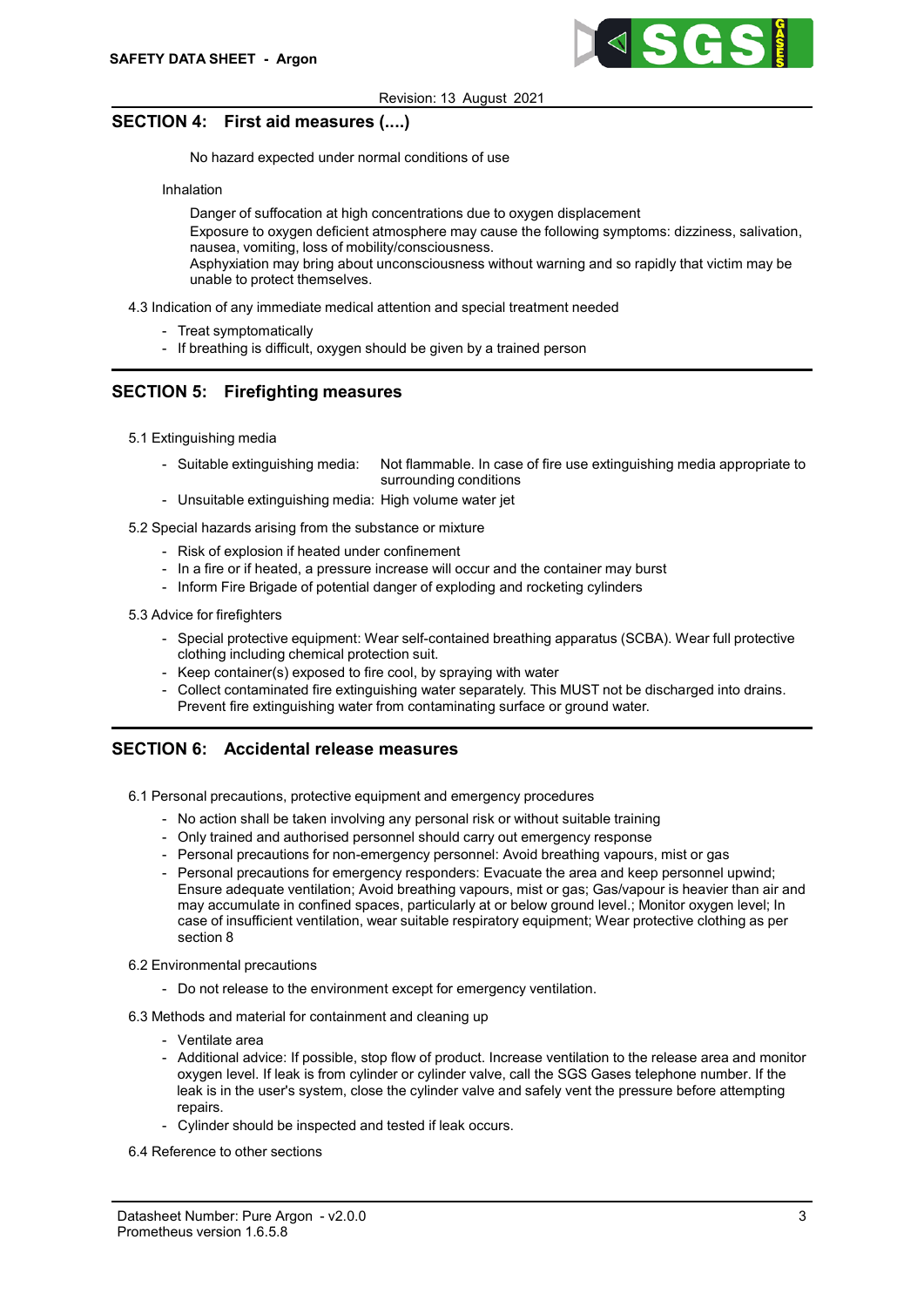

### SECTION 4: First aid measures (....)

No hazard expected under normal conditions of use

### Inhalation

Danger of suffocation at high concentrations due to oxygen displacement Exposure to oxygen deficient atmosphere may cause the following symptoms: dizziness, salivation, nausea, vomiting, loss of mobility/consciousness. Asphyxiation may bring about unconsciousness without warning and so rapidly that victim may be unable to protect themselves.

4.3 Indication of any immediate medical attention and special treatment needed

- Treat symptomatically
- If breathing is difficult, oxygen should be given by a trained person

## SECTION 5: Firefighting measures

- 5.1 Extinguishing media
	- Suitable extinguishing media: Not flammable. In case of fire use extinguishing media appropriate to surrounding conditions
	- Unsuitable extinguishing media: High volume water jet
- 5.2 Special hazards arising from the substance or mixture
	- Risk of explosion if heated under confinement
	- In a fire or if heated, a pressure increase will occur and the container may burst
	- Inform Fire Brigade of potential danger of exploding and rocketing cylinders

### 5.3 Advice for firefighters

- Special protective equipment: Wear self-contained breathing apparatus (SCBA). Wear full protective clothing including chemical protection suit.
- Keep container(s) exposed to fire cool, by spraying with water
- Collect contaminated fire extinguishing water separately. This MUST not be discharged into drains. Prevent fire extinguishing water from contaminating surface or ground water.

## SECTION 6: Accidental release measures

- 6.1 Personal precautions, protective equipment and emergency procedures
	- No action shall be taken involving any personal risk or without suitable training
	- Only trained and authorised personnel should carry out emergency response
	- Personal precautions for non-emergency personnel: Avoid breathing vapours, mist or gas
	- Personal precautions for emergency responders: Evacuate the area and keep personnel upwind; Ensure adequate ventilation; Avoid breathing vapours, mist or gas; Gas/vapour is heavier than air and may accumulate in confined spaces, particularly at or below ground level.; Monitor oxygen level; In case of insufficient ventilation, wear suitable respiratory equipment; Wear protective clothing as per section 8
- 6.2 Environmental precautions
	- Do not release to the environment except for emergency ventilation.
- 6.3 Methods and material for containment and cleaning up
	- Ventilate area
	- Additional advice: If possible, stop flow of product. Increase ventilation to the release area and monitor oxygen level. If leak is from cylinder or cylinder valve, call the SGS Gases telephone number. If the leak is in the user's system, close the cylinder valve and safely vent the pressure before attempting repairs.
	- Cylinder should be inspected and tested if leak occurs.
- 6.4 Reference to other sections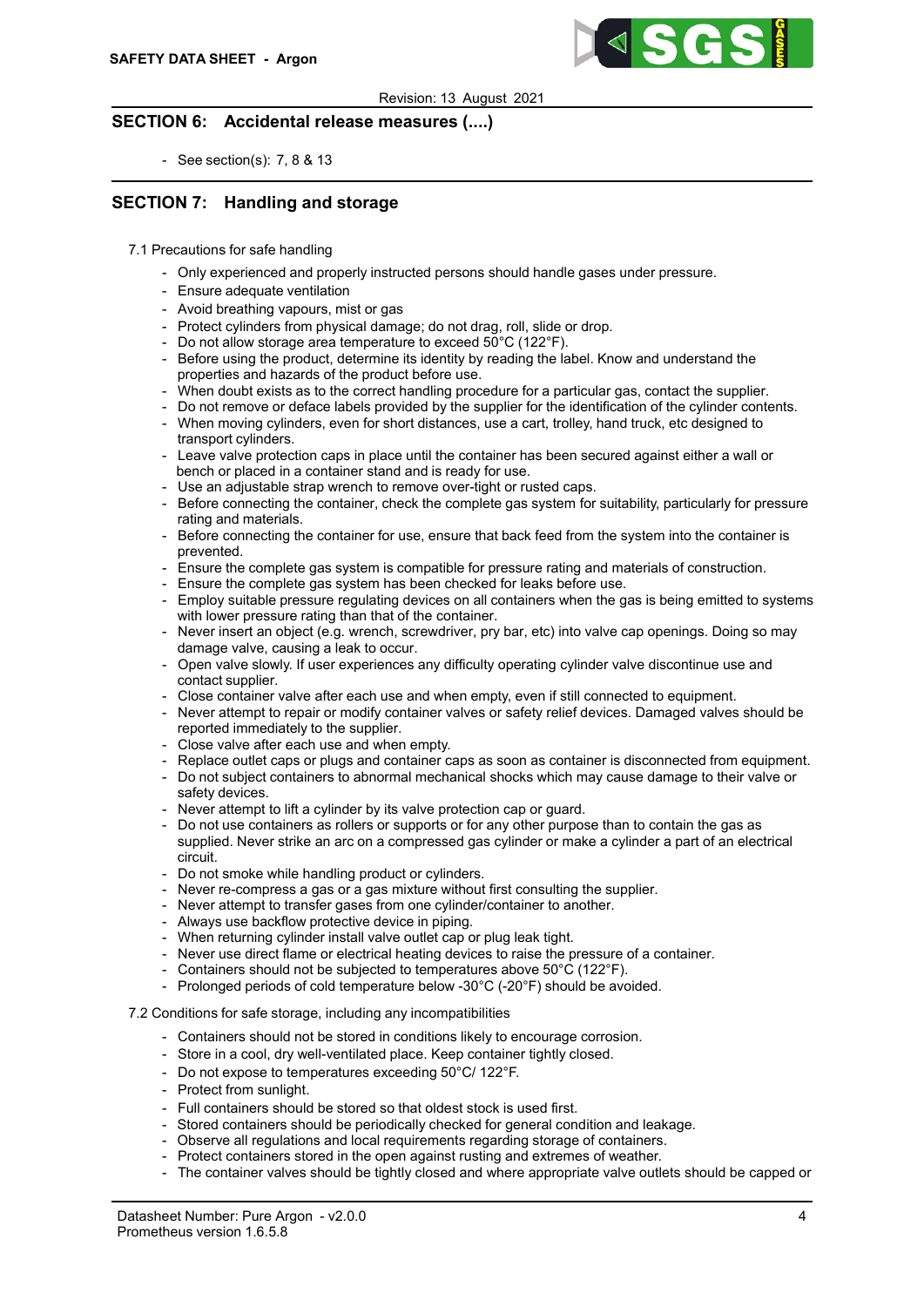

### SECTION 6: Accidental release measures (....)

- See section(s): 7, 8 & 13

## SECTION 7: Handling and storage

- 7.1 Precautions for safe handling
	- Only experienced and properly instructed persons should handle gases under pressure.
	- Ensure adequate ventilation
	- Avoid breathing vapours, mist or gas
	- Protect cylinders from physical damage; do not drag, roll, slide or drop.
	- Do not allow storage area temperature to exceed 50°C (122°F).
	- Before using the product, determine its identity by reading the label. Know and understand the properties and hazards of the product before use.
	- When doubt exists as to the correct handling procedure for a particular gas, contact the supplier.
	- Do not remove or deface labels provided by the supplier for the identification of the cylinder contents.
	- When moving cylinders, even for short distances, use a cart, trolley, hand truck, etc designed to transport cylinders.
	- Leave valve protection caps in place until the container has been secured against either a wall or bench or placed in a container stand and is ready for use.
	- Use an adjustable strap wrench to remove over-tight or rusted caps.
	- Before connecting the container, check the complete gas system for suitability, particularly for pressure rating and materials.
	- Before connecting the container for use, ensure that back feed from the system into the container is prevented.
	- Ensure the complete gas system is compatible for pressure rating and materials of construction.
	- Ensure the complete gas system has been checked for leaks before use.
	- Employ suitable pressure regulating devices on all containers when the gas is being emitted to systems with lower pressure rating than that of the container.
	- Never insert an object (e.g. wrench, screwdriver, pry bar, etc) into valve cap openings. Doing so may damage valve, causing a leak to occur.
	- Open valve slowly. If user experiences any difficulty operating cylinder valve discontinue use and contact supplier.
	- Close container valve after each use and when empty, even if still connected to equipment.
	- Never attempt to repair or modify container valves or safety relief devices. Damaged valves should be reported immediately to the supplier.
	- Close valve after each use and when empty.
	- Replace outlet caps or plugs and container caps as soon as container is disconnected from equipment. - Do not subject containers to abnormal mechanical shocks which may cause damage to their valve or
	- safety devices.
	- Never attempt to lift a cylinder by its valve protection cap or quard.
	- Do not use containers as rollers or supports or for any other purpose than to contain the gas as supplied. Never strike an arc on a compressed gas cylinder or make a cylinder a part of an electrical circuit.
	- Do not smoke while handling product or cylinders.
	- Never re-compress a gas or a gas mixture without first consulting the supplier.
	- Never attempt to transfer gases from one cylinder/container to another.
	- Always use backflow protective device in piping.
	- When returning cylinder install valve outlet cap or plug leak tight.
	- Never use direct flame or electrical heating devices to raise the pressure of a container.
	- Containers should not be subjected to temperatures above 50°C (122°F).
	- Prolonged periods of cold temperature below -30°C (-20°F) should be avoided.

### 7.2 Conditions for safe storage, including any incompatibilities

- Containers should not be stored in conditions likely to encourage corrosion.
- Store in a cool, dry well-ventilated place. Keep container tightly closed.
- Do not expose to temperatures exceeding 50°C/ 122°F.
- Protect from sunlight.
- Full containers should be stored so that oldest stock is used first.
- Stored containers should be periodically checked for general condition and leakage.
- Observe all regulations and local requirements regarding storage of containers.
- Protect containers stored in the open against rusting and extremes of weather.
- The container valves should be tightly closed and where appropriate valve outlets should be capped or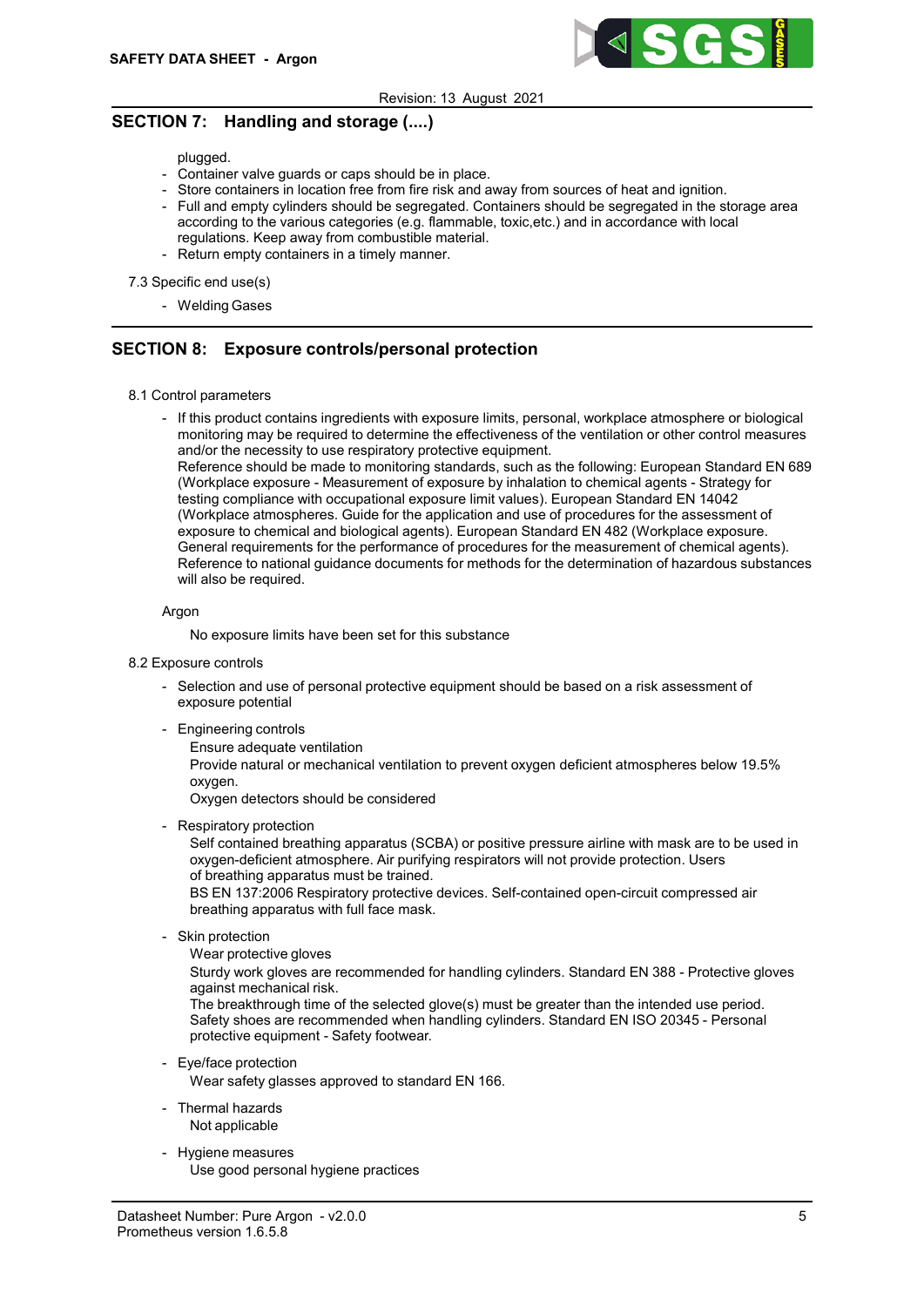

## SECTION 7: Handling and storage (....)

plugged.

- Container valve guards or caps should be in place.
- Store containers in location free from fire risk and away from sources of heat and ignition.
- Full and empty cylinders should be segregated. Containers should be segregated in the storage area according to the various categories (e.g. flammable, toxic,etc.) and in accordance with local regulations. Keep away from combustible material.
- Return empty containers in a timely manner.

7.3 Specific end use(s)

- Welding Gases

### SECTION 8: Exposure controls/personal protection

- 8.1 Control parameters
	- If this product contains ingredients with exposure limits, personal, workplace atmosphere or biological monitoring may be required to determine the effectiveness of the ventilation or other control measures and/or the necessity to use respiratory protective equipment. Reference should be made to monitoring standards, such as the following: European Standard EN 689 (Workplace exposure - Measurement of exposure by inhalation to chemical agents - Strategy for testing compliance with occupational exposure limit values). European Standard EN 14042 (Workplace atmospheres. Guide for the application and use of procedures for the assessment of exposure to chemical and biological agents). European Standard EN 482 (Workplace exposure. General requirements for the performance of procedures for the measurement of chemical agents). Reference to national guidance documents for methods for the determination of hazardous substances will also be required.

### Argon

No exposure limits have been set for this substance

- 8.2 Exposure controls
	- Selection and use of personal protective equipment should be based on a risk assessment of exposure potential
	- Engineering controls

Ensure adequate ventilation

Provide natural or mechanical ventilation to prevent oxygen deficient atmospheres below 19.5% oxygen.

Oxygen detectors should be considered

- Respiratory protection

Self contained breathing apparatus (SCBA) or positive pressure airline with mask are to be used in oxygen-deficient atmosphere. Air purifying respirators will not provide protection. Users of breathing apparatus must be trained.

BS EN 137:2006 Respiratory protective devices. Self-contained open-circuit compressed air breathing apparatus with full face mask.

- Skin protection

Wear protective gloves

Sturdy work gloves are recommended for handling cylinders. Standard EN 388 - Protective gloves against mechanical risk.

The breakthrough time of the selected glove(s) must be greater than the intended use period. Safety shoes are recommended when handling cylinders. Standard EN ISO 20345 - Personal protective equipment - Safety footwear.

- Eye/face protection

Wear safety glasses approved to standard EN 166.

- Thermal hazards Not applicable
- Hygiene measures

Use good personal hygiene practices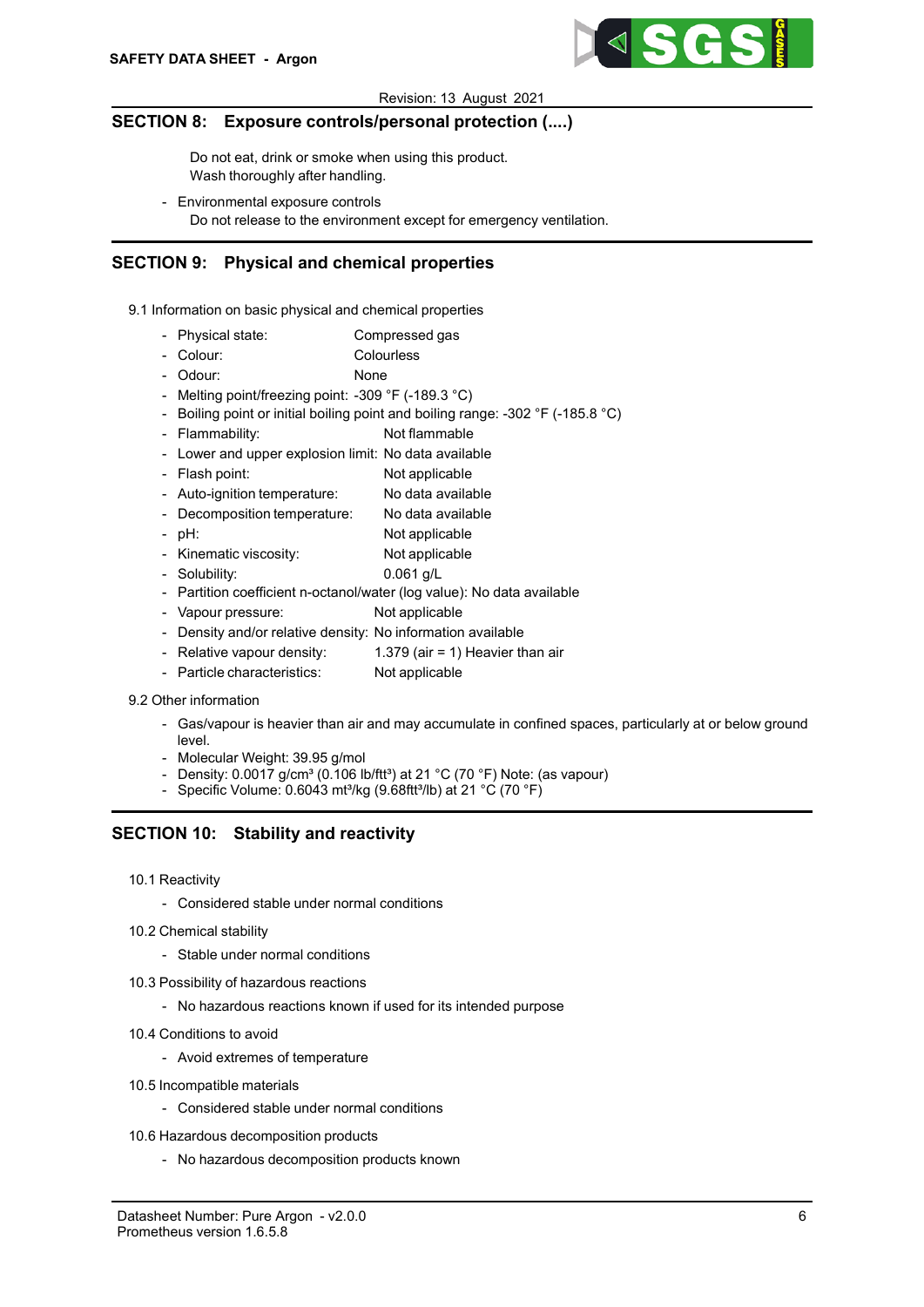

### SECTION 8: Exposure controls/personal protection (....)

Do not eat, drink or smoke when using this product. Wash thoroughly after handling.

- Environmental exposure controls Do not release to the environment except for emergency ventilation.

## SECTION 9: Physical and chemical properties

9.1 Information on basic physical and chemical properties

- Physical state: Compressed gas
- Colour: Colourless
- Odour: None
- Melting point/freezing point: -309 °F (-189.3 °C)
- Boiling point or initial boiling point and boiling range: -302 °F (-185.8 °C)
- Flammability: Not flammable
- Lower and upper explosion limit: No data available
- Flash point: Not applicable
- Auto-ignition temperature: No data available
- Decomposition temperature: No data available
- pH: Not applicable
- Kinematic viscosity: Not applicable
- Solubility: 0.061 g/L
- Partition coefficient n-octanol/water (log value): No data available
- Vapour pressure: Not applicable
- Density and/or relative density: No information available
- Relative vapour density: 1.379 (air = 1) Heavier than air
- Particle characteristics: Not applicable

#### 9.2 Other information

- Gas/vapour is heavier than air and may accumulate in confined spaces, particularly at or below ground level.
- Molecular Weight: 39.95 g/mol
- Density:  $0.0017$  g/cm<sup>3</sup> ( $0.106$  lb/ftt<sup>3</sup>) at 21 °C (70 °F) Note: (as vapour)
- Specific Volume:  $0.6043$  mt<sup>3</sup>/kg ( $9.68$ ftt<sup>3</sup>/lb) at 21 °C ( $70$  °F)

### SECTION 10: Stability and reactivity

- 10.1 Reactivity
	- Considered stable under normal conditions
- 10.2 Chemical stability
	- Stable under normal conditions
- 10.3 Possibility of hazardous reactions
	- No hazardous reactions known if used for its intended purpose
- 10.4 Conditions to avoid
	- Avoid extremes of temperature
- 10.5 Incompatible materials
	- Considered stable under normal conditions
- 10.6 Hazardous decomposition products
	- No hazardous decomposition products known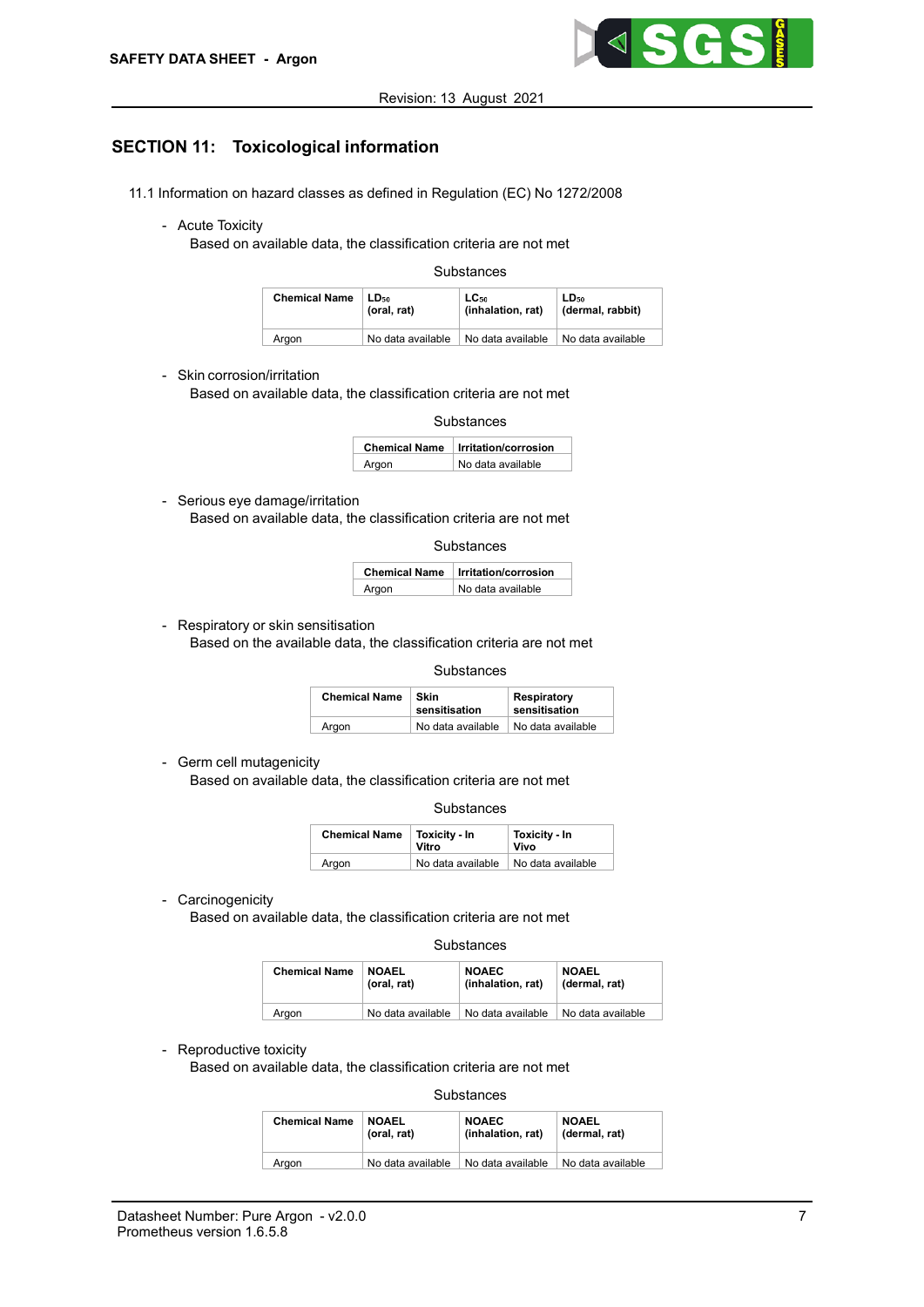

## SECTION 11: Toxicological information

- 11.1 Information on hazard classes as defined in Regulation (EC) No 1272/2008
	- Acute Toxicity

Based on available data, the classification criteria are not met

**Substances** 

| <b>Chemical Name</b> | LD <sub>50</sub><br>(oral, rat) | LC <sub>50</sub><br>(inhalation, rat) | LD <sub>50</sub><br>(dermal, rabbit) |
|----------------------|---------------------------------|---------------------------------------|--------------------------------------|
| Araon                | No data available               | No data available                     | ⊟No data available                   |

- Skin corrosion/irritation

Based on available data, the classification criteria are not met

**Substances** 

|       | <b>Chemical Name   Irritation/corrosion</b> |
|-------|---------------------------------------------|
| Argon | No data available                           |

- Serious eye damage/irritation Based on available data, the classification criteria are not met

**Substances** 

|       | Chemical Name   Irritation/corrosion |
|-------|--------------------------------------|
| Argon | No data available                    |

- Respiratory or skin sensitisation

Based on the available data, the classification criteria are not met

**Substances** 

| <b>Chemical Name</b> | <b>Skin</b><br>sensitisation | Respiratory<br>sensitisation |
|----------------------|------------------------------|------------------------------|
| Argon                | No data available            | No data available            |

- Germ cell mutagenicity

Based on available data, the classification criteria are not met

| <b>Chemical Name</b> | Toxicity - In<br>Vitro | <b>Toxicity - In</b><br>Vivo |
|----------------------|------------------------|------------------------------|
| Argon                | No data available      | No data available            |

#### - Carcinogenicity

Based on available data, the classification criteria are not met

**Substances** 

| <b>Chemical Name</b> | <b>NOAEL</b>      | <b>NOAEC</b>      | <b>NOAEL</b>      |
|----------------------|-------------------|-------------------|-------------------|
|                      | (oral, rat)       | (inhalation, rat) | (dermal, rat)     |
| Araon                | No data available | No data available | No data available |

#### - Reproductive toxicity

Based on available data, the classification criteria are not met

Substances

| <b>Chemical Name</b> | <b>NOAEL</b>      | <b>NOAEC</b>      | <b>NOAEL</b>      |
|----------------------|-------------------|-------------------|-------------------|
|                      | (oral, rat)       | (inhalation, rat) | (dermal, rat)     |
| Argon                | No data available | No data available | No data available |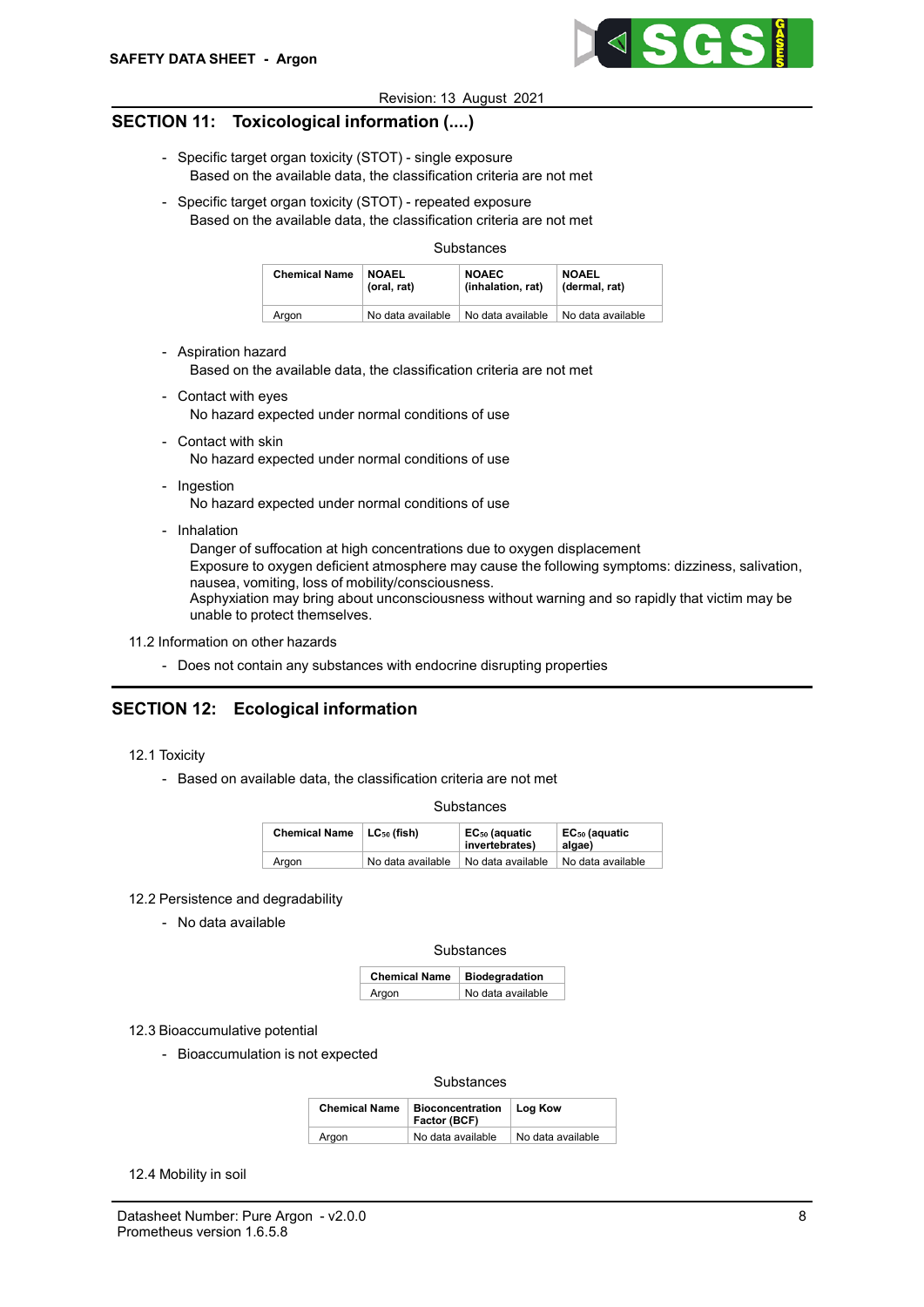

### SECTION 11: Toxicological information (....)

- Specific target organ toxicity (STOT) single exposure Based on the available data, the classification criteria are not met
- Specific target organ toxicity (STOT) repeated exposure Based on the available data, the classification criteria are not met

### **Substances**

| <b>Chemical Name</b> | <b>NOAEL</b>      | <b>NOAEC</b>      | <b>NOAEL</b>      |
|----------------------|-------------------|-------------------|-------------------|
|                      | (oral, rat)       | (inhalation, rat) | (dermal, rat)     |
| Araon                | No data available | No data available | No data available |

- Aspiration hazard

Based on the available data, the classification criteria are not met

- Contact with eyes No hazard expected under normal conditions of use
- Contact with skin No hazard expected under normal conditions of use
- Ingestion No hazard expected under normal conditions of use
- Inhalation

Danger of suffocation at high concentrations due to oxygen displacement Exposure to oxygen deficient atmosphere may cause the following symptoms: dizziness, salivation, nausea, vomiting, loss of mobility/consciousness. Asphyxiation may bring about unconsciousness without warning and so rapidly that victim may be unable to protect themselves.

- 11.2 Information on other hazards
	- Does not contain any substances with endocrine disrupting properties

## SECTION 12: Ecological information

- 12.1 Toxicity
	- Based on available data, the classification criteria are not met

| <b>Substances</b>    |                          |                                             |                                     |
|----------------------|--------------------------|---------------------------------------------|-------------------------------------|
| <b>Chemical Name</b> | $\mid$ LC $_{50}$ (fish) | EC <sub>50</sub> (aquatic<br>invertebrates) | EC <sub>50</sub> (aquatic<br>algae) |
| Argon                | No data available        | No data available                           | No data available                   |

12.2 Persistence and degradability

- No data available

#### **Substances**

| Chemical Name   Biodegradation |                   |
|--------------------------------|-------------------|
| Argon                          | No data available |

12.3 Bioaccumulative potential

- Bioaccumulation is not expected

| Substances |
|------------|
|------------|

| <b>Chemical Name</b> | <b>Bioconcentration</b><br>Factor (BCF) | Log Kow           |
|----------------------|-----------------------------------------|-------------------|
| Argon                | No data available                       | No data available |

#### 12.4 Mobility in soil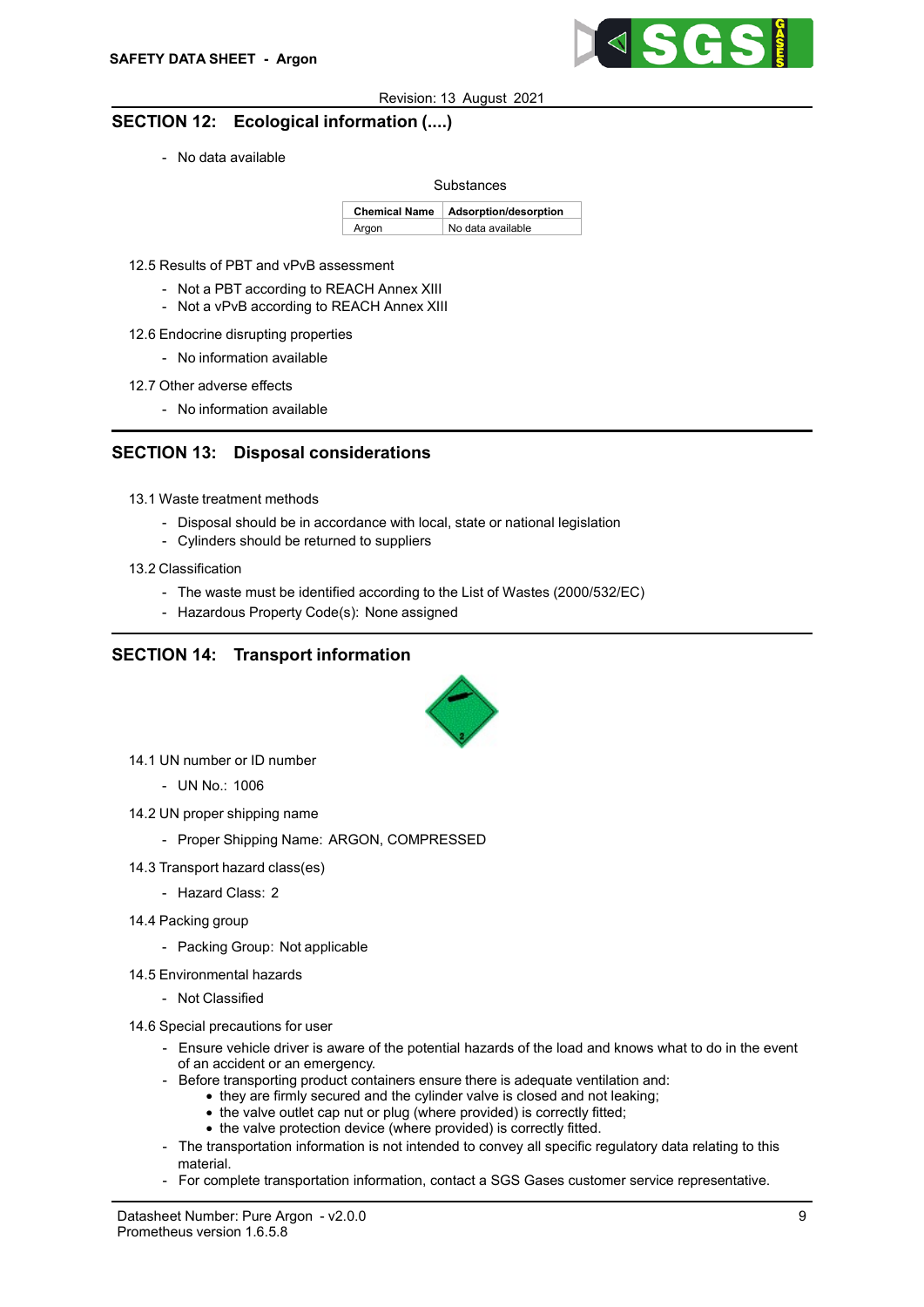

## SECTION 12: Ecological information (....)

- No data available

| Substances           |                       |  |
|----------------------|-----------------------|--|
| <b>Chemical Name</b> | Adsorption/desorption |  |
| Argon                | No data available     |  |

- 12.5 Results of PBT and vPvB assessment
	- Not a PBT according to REACH Annex XIII
	- Not a vPvB according to REACH Annex XIII
- 12.6 Endocrine disrupting properties
	- No information available
- 12.7 Other adverse effects
	- No information available

### SECTION 13: Disposal considerations

- 13.1 Waste treatment methods
	- Disposal should be in accordance with local, state or national legislation
	- Cylinders should be returned to suppliers
- 13.2 Classification
	- The waste must be identified according to the List of Wastes (2000/532/EC)
	- Hazardous Property Code(s): None assigned

### SECTION 14: Transport information



14.1 UN number or ID number

- UN No.: 1006

- 14.2 UN proper shipping name
	- Proper Shipping Name: ARGON, COMPRESSED
- 14.3 Transport hazard class(es)
	- Hazard Class: 2
- 14.4 Packing group
	- Packing Group: Not applicable
- 14.5 Environmental hazards
	- Not Classified
- 14.6 Special precautions for user
	- Ensure vehicle driver is aware of the potential hazards of the load and knows what to do in the event of an accident or an emergency.
	- Before transporting product containers ensure there is adequate ventilation and:
		- they are firmly secured and the cylinder valve is closed and not leaking;
		- the valve outlet cap nut or plug (where provided) is correctly fitted;
		- the valve protection device (where provided) is correctly fitted.
	- The transportation information is not intended to convey all specific regulatory data relating to this material.
	- For complete transportation information, contact a SGS Gases customer service representative.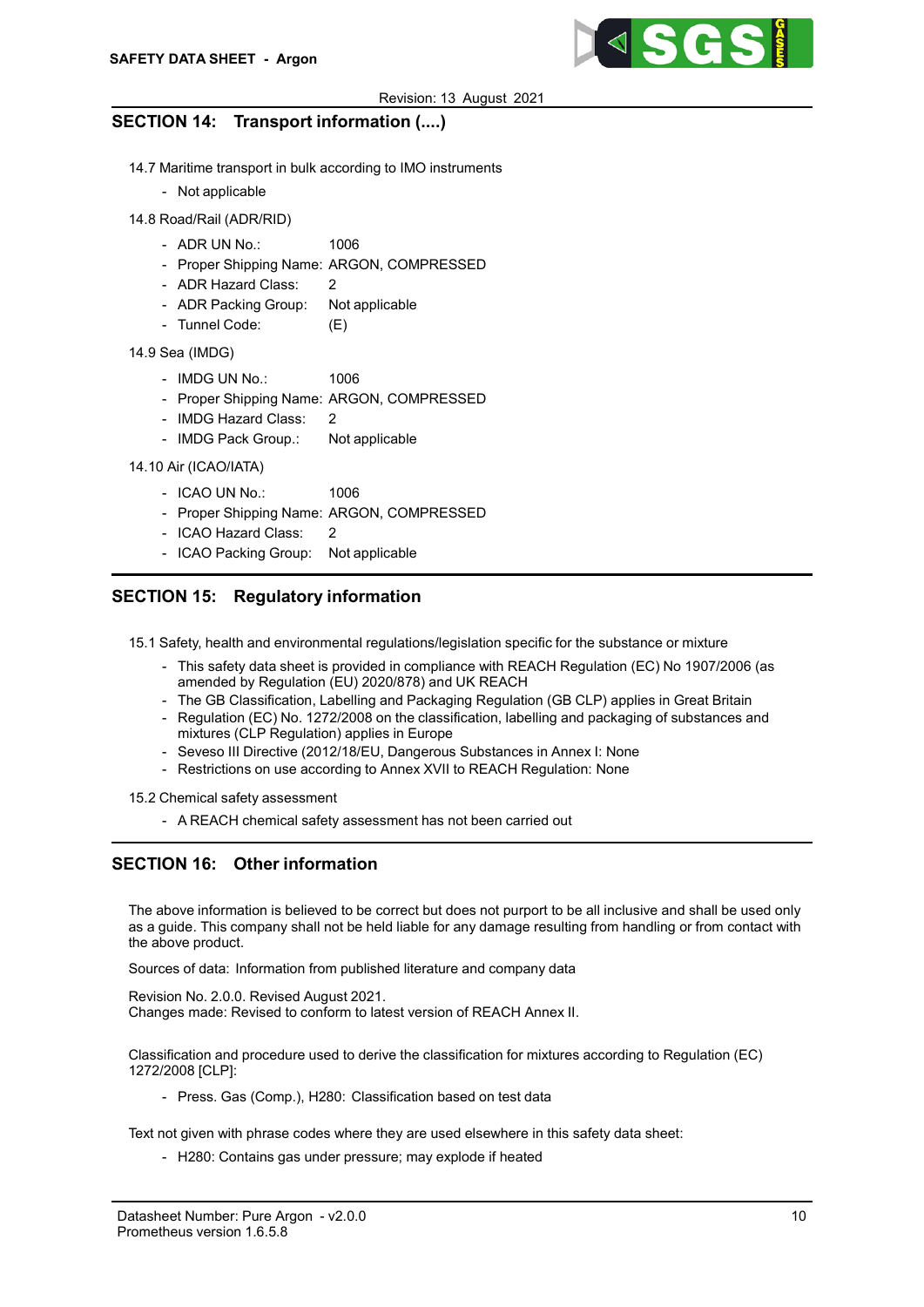

# SECTION 14: Transport information (....)

- 14.7 Maritime transport in bulk according to IMO instruments
	- Not applicable
- 14.8 Road/Rail (ADR/RID)
	- ADR UN No.: 1006
	- Proper Shipping Name: ARGON, COMPRESSED
	- ADR Hazard Class: 2
	- ADR Packing Group: Not applicable
	- Tunnel Code: (E)

14.9 Sea (IMDG)

- IMDG UN No.: 1006
- Proper Shipping Name: ARGON, COMPRESSED
- IMDG Hazard Class: 2
- IMDG Pack Group.: Not applicable

14.10 Air (ICAO/IATA)

- ICAO UN No.: 1006
- Proper Shipping Name: ARGON, COMPRESSED
- ICAO Hazard Class: 2
- ICAO Packing Group: Not applicable

# SECTION 15: Regulatory information

- 15.1 Safety, health and environmental regulations/legislation specific for the substance or mixture
	- This safety data sheet is provided in compliance with REACH Regulation (EC) No 1907/2006 (as amended by Regulation (EU) 2020/878) and UK REACH
	- The GB Classification, Labelling and Packaging Regulation (GB CLP) applies in Great Britain
	- Regulation (EC) No. 1272/2008 on the classification, labelling and packaging of substances and mixtures (CLP Regulation) applies in Europe
	- Seveso III Directive (2012/18/EU, Dangerous Substances in Annex I: None
	- Restrictions on use according to Annex XVII to REACH Regulation: None
- 15.2 Chemical safety assessment
	- A REACH chemical safety assessment has not been carried out

## SECTION 16: Other information

The above information is believed to be correct but does not purport to be all inclusive and shall be used only as a guide. This company shall not be held liable for any damage resulting from handling or from contact with the above product.

Sources of data: Information from published literature and company data

Revision No. 2.0.0. Revised August 2021. Changes made: Revised to conform to latest version of REACH Annex II.

Classification and procedure used to derive the classification for mixtures according to Regulation (EC) 1272/2008 [CLP]:

- Press. Gas (Comp.), H280: Classification based on test data

Text not given with phrase codes where they are used elsewhere in this safety data sheet:

- H280: Contains gas under pressure; may explode if heated